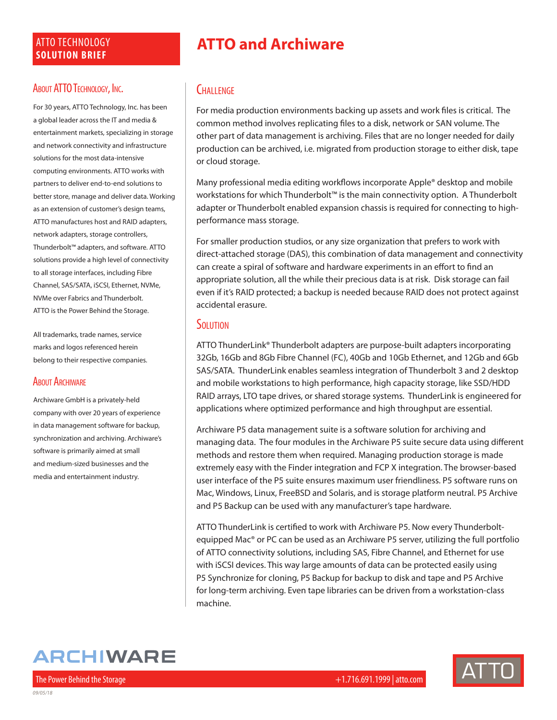### ATTO TECHNOLOGY **SOLUTION BRIEF**

### About ATTO TECHNOLOGY, INC.

For 30 years, ATTO Technology, Inc. has been a global leader across the IT and media & entertainment markets, specializing in storage and network connectivity and infrastructure solutions for the most data-intensive computing environments. ATTO works with partners to deliver end-to-end solutions to better store, manage and deliver data. Working as an extension of customer's design teams, ATTO manufactures host and RAID adapters, network adapters, storage controllers, Thunderbolt™ adapters, and software. ATTO solutions provide a high level of connectivity to all storage interfaces, including Fibre Channel, SAS/SATA, iSCSI, Ethernet, NVMe, NVMe over Fabrics and Thunderbolt. ATTO is the Power Behind the Storage.

All trademarks, trade names, service marks and logos referenced herein belong to their respective companies.

### **ABOUT ARCHIWARE**

Archiware GmbH is a privately-held company with over 20 years of experience in data management software for backup, synchronization and archiving. Archiware's software is primarily aimed at small and medium-sized businesses and the media and entertainment industry.

# **ATTO and Archiware**

### **CHALLENGE**

For media production environments backing up assets and work files is critical. The common method involves replicating files to a disk, network or SAN volume. The other part of data management is archiving. Files that are no longer needed for daily production can be archived, i.e. migrated from production storage to either disk, tape or cloud storage.

Many professional media editing workflows incorporate Apple® desktop and mobile workstations for which Thunderbolt™ is the main connectivity option. A Thunderbolt adapter or Thunderbolt enabled expansion chassis is required for connecting to highperformance mass storage.

For smaller production studios, or any size organization that prefers to work with direct-attached storage (DAS), this combination of data management and connectivity can create a spiral of software and hardware experiments in an effort to find an appropriate solution, all the while their precious data is at risk. Disk storage can fail even if it's RAID protected; a backup is needed because RAID does not protect against accidental erasure.

#### **SOLUTION**

ATTO ThunderLink® Thunderbolt adapters are purpose-built adapters incorporating 32Gb, 16Gb and 8Gb Fibre Channel (FC), 40Gb and 10Gb Ethernet, and 12Gb and 6Gb SAS/SATA. ThunderLink enables seamless integration of Thunderbolt 3 and 2 desktop and mobile workstations to high performance, high capacity storage, like SSD/HDD RAID arrays, LTO tape drives, or shared storage systems. ThunderLink is engineered for applications where optimized performance and high throughput are essential.

Archiware P5 data management suite is a software solution for archiving and managing data. The four modules in the Archiware P5 suite secure data using different methods and restore them when required. Managing production storage is made extremely easy with the Finder integration and FCP X integration. The browser-based user interface of the P5 suite ensures maximum user friendliness. P5 software runs on Mac, Windows, Linux, FreeBSD and Solaris, and is storage platform neutral. P5 Archive and P5 Backup can be used with any manufacturer's tape hardware.

ATTO ThunderLink is certified to work with Archiware P5. Now every Thunderboltequipped Mac® or PC can be used as an Archiware P5 server, utilizing the full portfolio of ATTO connectivity solutions, including SAS, Fibre Channel, and Ethernet for use with iSCSI devices. This way large amounts of data can be protected easily using P5 Synchronize for cloning, P5 Backup for backup to disk and tape and P5 Archive for long-term archiving. Even tape libraries can be driven from a workstation-class machine.

# **ARCHIWARE**